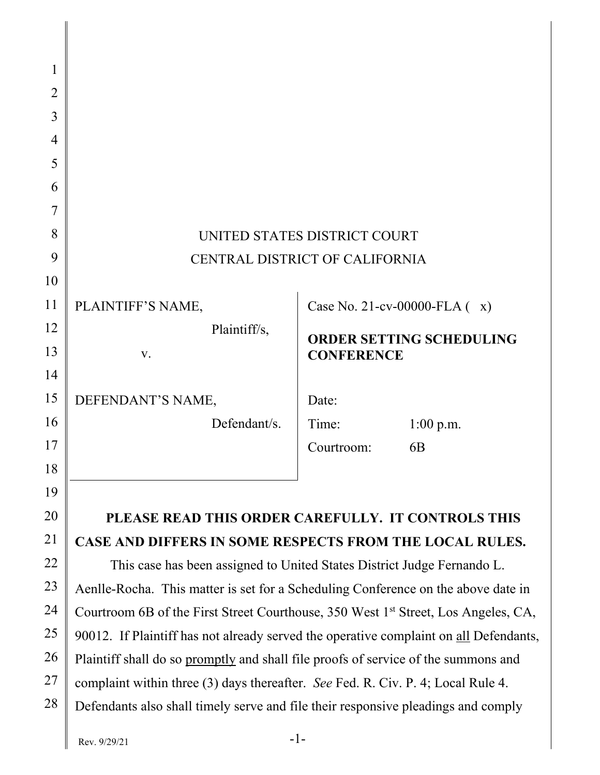| 1  |                                                                                                |                                 |                |  |  |  |
|----|------------------------------------------------------------------------------------------------|---------------------------------|----------------|--|--|--|
| 2  |                                                                                                |                                 |                |  |  |  |
| 3  |                                                                                                |                                 |                |  |  |  |
| 4  |                                                                                                |                                 |                |  |  |  |
| 5  |                                                                                                |                                 |                |  |  |  |
| 6  |                                                                                                |                                 |                |  |  |  |
| 7  |                                                                                                |                                 |                |  |  |  |
| 8  | UNITED STATES DISTRICT COURT                                                                   |                                 |                |  |  |  |
| 9  | CENTRAL DISTRICT OF CALIFORNIA                                                                 |                                 |                |  |  |  |
| 10 |                                                                                                |                                 |                |  |  |  |
| 11 | PLAINTIFF'S NAME,                                                                              | Case No. 21-cv-00000-FLA $(x)$  |                |  |  |  |
| 12 | Plaintiff/s,                                                                                   | <b>ORDER SETTING SCHEDULING</b> |                |  |  |  |
| 13 | V.                                                                                             | <b>CONFERENCE</b>               |                |  |  |  |
| 14 |                                                                                                |                                 |                |  |  |  |
| 15 | DEFENDANT'S NAME,                                                                              | Date:                           |                |  |  |  |
| 16 | Defendant/s.                                                                                   | Time:                           | $1:00$ p.m.    |  |  |  |
| 17 |                                                                                                | Courtroom:                      | 6 <sub>B</sub> |  |  |  |
| 18 |                                                                                                |                                 |                |  |  |  |
| 19 |                                                                                                |                                 |                |  |  |  |
| 20 | PLEASE READ THIS ORDER CAREFULLY. IT CONTROLS THIS                                             |                                 |                |  |  |  |
| 21 | CASE AND DIFFERS IN SOME RESPECTS FROM THE LOCAL RULES.                                        |                                 |                |  |  |  |
| 22 | This case has been assigned to United States District Judge Fernando L.                        |                                 |                |  |  |  |
| 23 | Aenlle-Rocha. This matter is set for a Scheduling Conference on the above date in              |                                 |                |  |  |  |
| 24 | Courtroom 6B of the First Street Courthouse, 350 West 1 <sup>st</sup> Street, Los Angeles, CA, |                                 |                |  |  |  |
| 25 | 90012. If Plaintiff has not already served the operative complaint on all Defendants,          |                                 |                |  |  |  |
| 26 | Plaintiff shall do so promptly and shall file proofs of service of the summons and             |                                 |                |  |  |  |
| 27 | complaint within three (3) days thereafter. See Fed. R. Civ. P. 4; Local Rule 4.               |                                 |                |  |  |  |

28 Defendants also shall timely serve and file their responsive pleadings and comply

 $\mathsf{l}$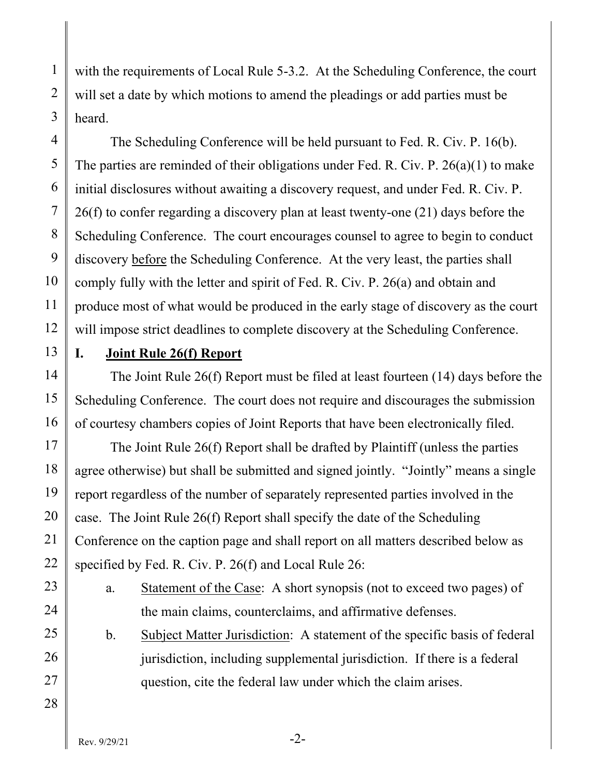with the requirements of Local Rule 5-3.2. At the Scheduling Conference, the court will set a date by which motions to amend the pleadings or add parties must be heard.

The Scheduling Conference will be held pursuant to Fed. R. Civ. P. 16(b). The parties are reminded of their obligations under Fed. R. Civ. P. 26(a)(1) to make initial disclosures without awaiting a discovery request, and under Fed. R. Civ. P. 26(f) to confer regarding a discovery plan at least twenty-one (21) days before the Scheduling Conference. The court encourages counsel to agree to begin to conduct discovery before the Scheduling Conference. At the very least, the parties shall comply fully with the letter and spirit of Fed. R. Civ. P. 26(a) and obtain and produce most of what would be produced in the early stage of discovery as the court will impose strict deadlines to complete discovery at the Scheduling Conference.

## **I. Joint Rule 26(f) Report**

The Joint Rule 26(f) Report must be filed at least fourteen (14) days before the Scheduling Conference. The court does not require and discourages the submission of courtesy chambers copies of Joint Reports that have been electronically filed.

The Joint Rule 26(f) Report shall be drafted by Plaintiff (unless the parties agree otherwise) but shall be submitted and signed jointly. "Jointly" means a single report regardless of the number of separately represented parties involved in the case. The Joint Rule 26(f) Report shall specify the date of the Scheduling Conference on the caption page and shall report on all matters described below as specified by Fed. R. Civ. P. 26(f) and Local Rule 26:

- a. Statement of the Case: A short synopsis (not to exceed two pages) of the main claims, counterclaims, and affirmative defenses.
- b. Subject Matter Jurisdiction: A statement of the specific basis of federal jurisdiction, including supplemental jurisdiction. If there is a federal question, cite the federal law under which the claim arises.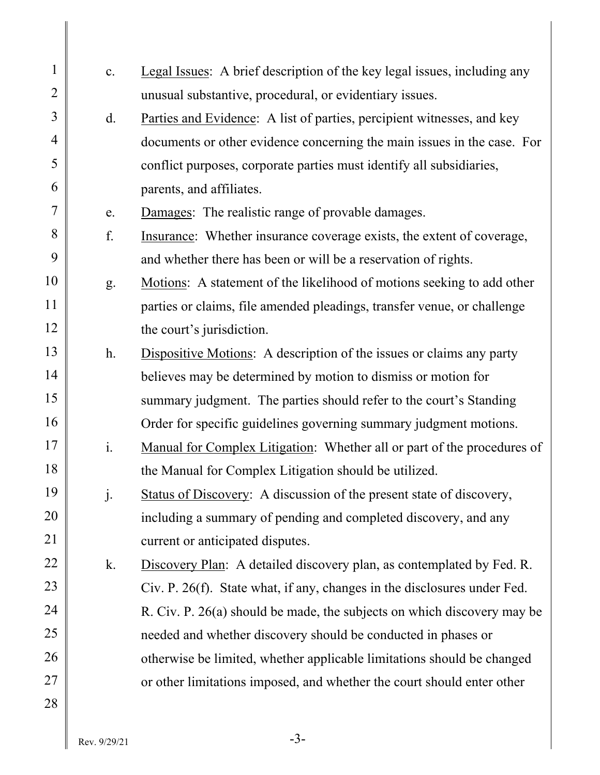| $\mathbf{1}$   | c.             | Legal Issues: A brief description of the key legal issues, including any    |
|----------------|----------------|-----------------------------------------------------------------------------|
| $\overline{2}$ |                | unusual substantive, procedural, or evidentiary issues.                     |
| 3              | d.             | Parties and Evidence: A list of parties, percipient witnesses, and key      |
| $\overline{4}$ |                | documents or other evidence concerning the main issues in the case. For     |
| 5              |                | conflict purposes, corporate parties must identify all subsidiaries,        |
| 6              |                | parents, and affiliates.                                                    |
| 7              | e.             | Damages: The realistic range of provable damages.                           |
| 8              | f.             | Insurance: Whether insurance coverage exists, the extent of coverage,       |
| 9              |                | and whether there has been or will be a reservation of rights.              |
| 10             | g.             | Motions: A statement of the likelihood of motions seeking to add other      |
| 11             |                | parties or claims, file amended pleadings, transfer venue, or challenge     |
| 12             |                | the court's jurisdiction.                                                   |
| 13             | h.             | <b>Dispositive Motions:</b> A description of the issues or claims any party |
| 14             |                | believes may be determined by motion to dismiss or motion for               |
| 15             |                | summary judgment. The parties should refer to the court's Standing          |
| 16             |                | Order for specific guidelines governing summary judgment motions.           |
| 17             | i.             | Manual for Complex Litigation: Whether all or part of the procedures of     |
| 18             |                | the Manual for Complex Litigation should be utilized.                       |
| 19             | $\mathbf{j}$ . | Status of Discovery: A discussion of the present state of discovery,        |
| 20             |                | including a summary of pending and completed discovery, and any             |
| 21             |                | current or anticipated disputes.                                            |
| 22             | k.             | Discovery Plan: A detailed discovery plan, as contemplated by Fed. R.       |
| 23             |                | Civ. P. 26(f). State what, if any, changes in the disclosures under Fed.    |
| 24             |                | R. Civ. P. 26(a) should be made, the subjects on which discovery may be     |
| 25             |                | needed and whether discovery should be conducted in phases or               |
| 26             |                | otherwise be limited, whether applicable limitations should be changed      |
| 27             |                | or other limitations imposed, and whether the court should enter other      |
| 28             |                |                                                                             |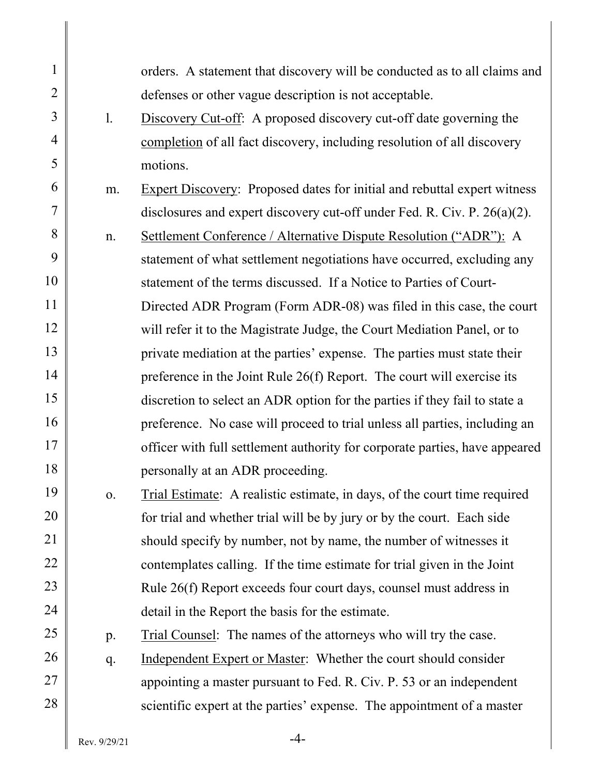| $\mathbf{1}$   |                | orders. A statement that discovery will be conducted as to all claims and       |
|----------------|----------------|---------------------------------------------------------------------------------|
| $\overline{2}$ |                | defenses or other vague description is not acceptable.                          |
| 3              | 1.             | Discovery Cut-off: A proposed discovery cut-off date governing the              |
| 4              |                | completion of all fact discovery, including resolution of all discovery         |
| 5              |                | motions.                                                                        |
| 6              | m.             | <b>Expert Discovery:</b> Proposed dates for initial and rebuttal expert witness |
| 7              |                | disclosures and expert discovery cut-off under Fed. R. Civ. P. $26(a)(2)$ .     |
| 8              | n.             | Settlement Conference / Alternative Dispute Resolution ("ADR"): A               |
| 9              |                | statement of what settlement negotiations have occurred, excluding any          |
| 10             |                | statement of the terms discussed. If a Notice to Parties of Court-              |
| 11             |                | Directed ADR Program (Form ADR-08) was filed in this case, the court            |
| 12             |                | will refer it to the Magistrate Judge, the Court Mediation Panel, or to         |
| 13             |                | private mediation at the parties' expense. The parties must state their         |
| 14             |                | preference in the Joint Rule $26(f)$ Report. The court will exercise its        |
| 15             |                | discretion to select an ADR option for the parties if they fail to state a      |
| 16             |                | preference. No case will proceed to trial unless all parties, including an      |
| 17             |                | officer with full settlement authority for corporate parties, have appeared     |
| 18             |                | personally at an ADR proceeding.                                                |
| 19             | $\mathbf{O}$ . | Trial Estimate: A realistic estimate, in days, of the court time required       |
| 20             |                | for trial and whether trial will be by jury or by the court. Each side          |
| 21             |                | should specify by number, not by name, the number of witnesses it               |
| 22             |                | contemplates calling. If the time estimate for trial given in the Joint         |
| 23             |                | Rule 26(f) Report exceeds four court days, counsel must address in              |
| 24             |                | detail in the Report the basis for the estimate.                                |
| 25             | p.             | Trial Counsel: The names of the attorneys who will try the case.                |
| 26             | q.             | Independent Expert or Master: Whether the court should consider                 |
| 27             |                | appointing a master pursuant to Fed. R. Civ. P. 53 or an independent            |
| 28             |                | scientific expert at the parties' expense. The appointment of a master          |
|                |                |                                                                                 |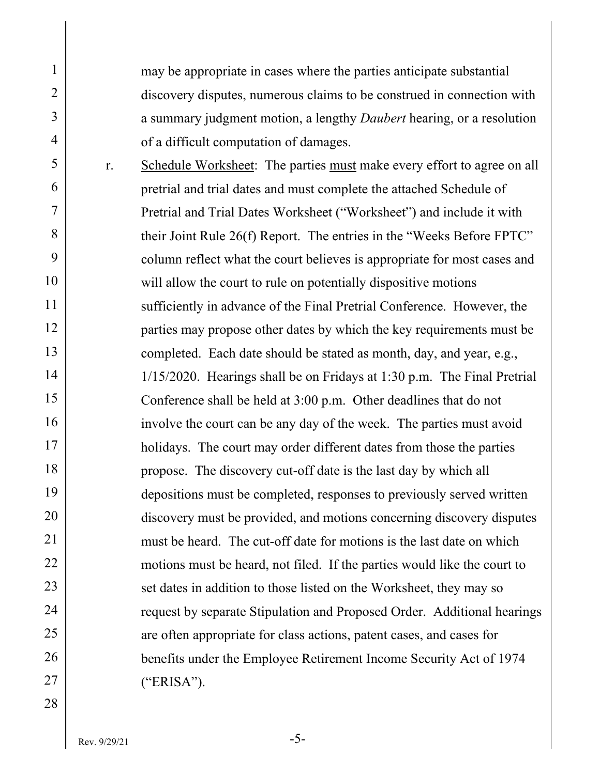may be appropriate in cases where the parties anticipate substantial discovery disputes, numerous claims to be construed in connection with a summary judgment motion, a lengthy *Daubert* hearing, or a resolution of a difficult computation of damages.

r. Schedule Worksheet: The parties must make every effort to agree on all pretrial and trial dates and must complete the attached Schedule of Pretrial and Trial Dates Worksheet ("Worksheet") and include it with their Joint Rule 26(f) Report. The entries in the "Weeks Before FPTC" column reflect what the court believes is appropriate for most cases and will allow the court to rule on potentially dispositive motions sufficiently in advance of the Final Pretrial Conference. However, the parties may propose other dates by which the key requirements must be completed. Each date should be stated as month, day, and year, e.g., 1/15/2020. Hearings shall be on Fridays at 1:30 p.m. The Final Pretrial Conference shall be held at 3:00 p.m. Other deadlines that do not involve the court can be any day of the week. The parties must avoid holidays. The court may order different dates from those the parties propose. The discovery cut-off date is the last day by which all depositions must be completed, responses to previously served written discovery must be provided, and motions concerning discovery disputes must be heard. The cut-off date for motions is the last date on which motions must be heard, not filed. If the parties would like the court to set dates in addition to those listed on the Worksheet, they may so request by separate Stipulation and Proposed Order. Additional hearings are often appropriate for class actions, patent cases, and cases for benefits under the Employee Retirement Income Security Act of 1974 ("ERISA").

1

2

3

4

5

6

7

8

9

10

11

12

13

14

15

16

17

18

19

20

21

22

23

24

25

26

27

28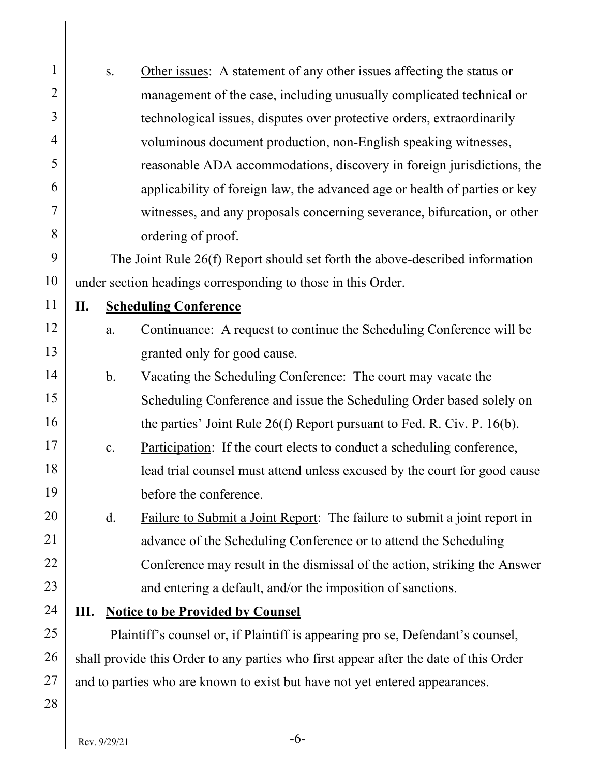| $\mathbf{1}$ |                                                                                       | Other issues: A statement of any other issues affecting the status or<br>S. |                                                                                |  |
|--------------|---------------------------------------------------------------------------------------|-----------------------------------------------------------------------------|--------------------------------------------------------------------------------|--|
| 2            | management of the case, including unusually complicated technical or                  |                                                                             |                                                                                |  |
| 3            |                                                                                       |                                                                             | technological issues, disputes over protective orders, extraordinarily         |  |
| 4            | voluminous document production, non-English speaking witnesses,                       |                                                                             |                                                                                |  |
| 5            | reasonable ADA accommodations, discovery in foreign jurisdictions, the                |                                                                             |                                                                                |  |
| 6            | applicability of foreign law, the advanced age or health of parties or key            |                                                                             |                                                                                |  |
| 7            | witnesses, and any proposals concerning severance, bifurcation, or other              |                                                                             |                                                                                |  |
| 8            | ordering of proof.                                                                    |                                                                             |                                                                                |  |
| 9            | The Joint Rule 26(f) Report should set forth the above-described information          |                                                                             |                                                                                |  |
| 10           | under section headings corresponding to those in this Order.                          |                                                                             |                                                                                |  |
| 11           | П.<br><b>Scheduling Conference</b>                                                    |                                                                             |                                                                                |  |
| 12           |                                                                                       | a.                                                                          | Continuance: A request to continue the Scheduling Conference will be           |  |
| 13           |                                                                                       |                                                                             | granted only for good cause.                                                   |  |
| 14           | $\mathbf b$ .<br>Vacating the Scheduling Conference: The court may vacate the         |                                                                             |                                                                                |  |
| 15           |                                                                                       |                                                                             | Scheduling Conference and issue the Scheduling Order based solely on           |  |
| 16           |                                                                                       |                                                                             | the parties' Joint Rule $26(f)$ Report pursuant to Fed. R. Civ. P. $16(b)$ .   |  |
| 17           |                                                                                       | c.                                                                          | Participation: If the court elects to conduct a scheduling conference,         |  |
| 18           | lead trial counsel must attend unless excused by the court for good cause             |                                                                             |                                                                                |  |
| 19           |                                                                                       |                                                                             | before the conference.                                                         |  |
| 20           |                                                                                       | $\mathbf{d}$ .                                                              | Failure to Submit a Joint Report: The failure to submit a joint report in      |  |
| 21           |                                                                                       |                                                                             | advance of the Scheduling Conference or to attend the Scheduling               |  |
| 22           |                                                                                       |                                                                             | Conference may result in the dismissal of the action, striking the Answer      |  |
| 23           |                                                                                       |                                                                             | and entering a default, and/or the imposition of sanctions.                    |  |
| 24           | Ш.                                                                                    |                                                                             | <b>Notice to be Provided by Counsel</b>                                        |  |
| 25           |                                                                                       |                                                                             | Plaintiff's counsel or, if Plaintiff is appearing pro se, Defendant's counsel, |  |
| 26           | shall provide this Order to any parties who first appear after the date of this Order |                                                                             |                                                                                |  |
| 27           | and to parties who are known to exist but have not yet entered appearances.           |                                                                             |                                                                                |  |
| 28           |                                                                                       |                                                                             |                                                                                |  |
|              |                                                                                       |                                                                             |                                                                                |  |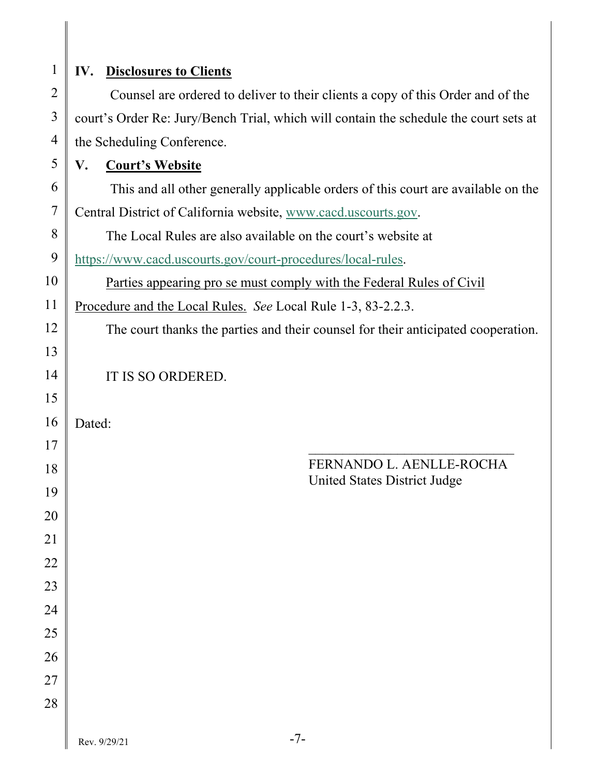| $\mathbf{1}$   | IV.<br><b>Disclosures to Clients</b>                                                  |  |  |  |
|----------------|---------------------------------------------------------------------------------------|--|--|--|
| $\overline{2}$ | Counsel are ordered to deliver to their clients a copy of this Order and of the       |  |  |  |
| 3              | court's Order Re: Jury/Bench Trial, which will contain the schedule the court sets at |  |  |  |
| 4              | the Scheduling Conference.                                                            |  |  |  |
| 5              | V.<br><b>Court's Website</b>                                                          |  |  |  |
| 6              | This and all other generally applicable orders of this court are available on the     |  |  |  |
| 7              | Central District of California website, www.cacd.uscourts.gov.                        |  |  |  |
| 8              | The Local Rules are also available on the court's website at                          |  |  |  |
| 9              | https://www.cacd.uscourts.gov/court-procedures/local-rules.                           |  |  |  |
| 10             | <u>Parties appearing pro se must comply with the Federal Rules of Civil</u>           |  |  |  |
| 11             | Procedure and the Local Rules. See Local Rule 1-3, 83-2.2.3.                          |  |  |  |
| 12             | The court thanks the parties and their counsel for their anticipated cooperation.     |  |  |  |
| 13             |                                                                                       |  |  |  |
| 14             | IT IS SO ORDERED.                                                                     |  |  |  |
| 15             |                                                                                       |  |  |  |
| 16             | Dated:                                                                                |  |  |  |
| 17             |                                                                                       |  |  |  |
| 18             | FERNANDO L. AENLLE-ROCHA<br>United States District Judge                              |  |  |  |
| 19             |                                                                                       |  |  |  |
| 20             |                                                                                       |  |  |  |
| 21             |                                                                                       |  |  |  |
| 22             |                                                                                       |  |  |  |
| 23             |                                                                                       |  |  |  |
| 24             |                                                                                       |  |  |  |
| 25             |                                                                                       |  |  |  |
| 26             |                                                                                       |  |  |  |
| 27             |                                                                                       |  |  |  |
| 28             |                                                                                       |  |  |  |
|                | $-7-$<br>Rev. 9/29/21                                                                 |  |  |  |